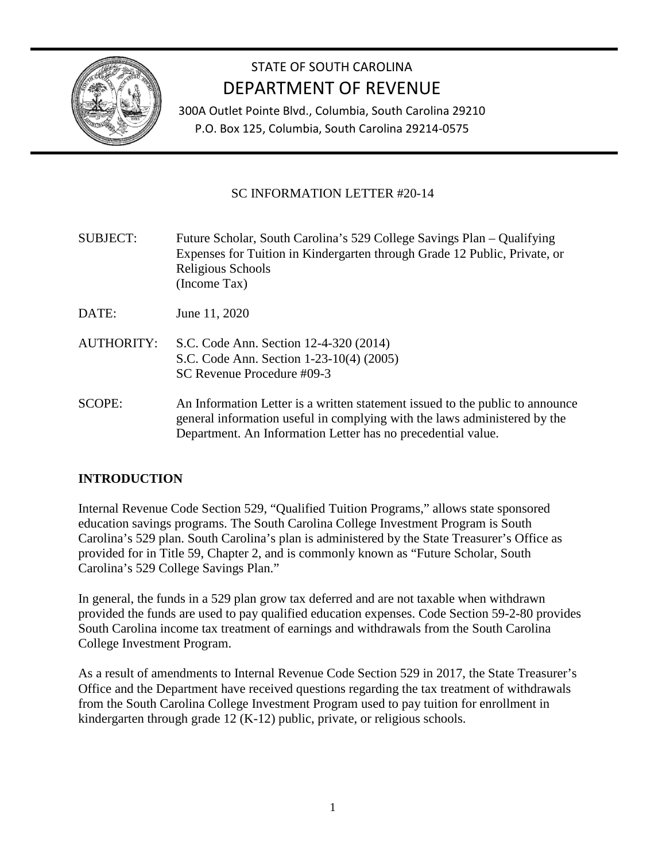

# STATE OF SOUTH CAROLINA DEPARTMENT OF REVENUE

300A Outlet Pointe Blvd., Columbia, South Carolina 29210 P.O. Box 125, Columbia, South Carolina 29214-0575

### SC INFORMATION LETTER #20-14

| <b>SUBJECT:</b> | Future Scholar, South Carolina's 529 College Savings Plan – Qualifying<br>Expenses for Tuition in Kindergarten through Grade 12 Public, Private, or<br>Religious Schools<br>(Income Tax) |
|-----------------|------------------------------------------------------------------------------------------------------------------------------------------------------------------------------------------|
| DATE:           | June 11, 2020                                                                                                                                                                            |
| AUTHORITY:      | S.C. Code Ann. Section 12-4-320 (2014)<br>S.C. Code Ann. Section 1-23-10(4) (2005)<br>SC Revenue Procedure #09-3                                                                         |

SCOPE: An Information Letter is a written statement issued to the public to announce general information useful in complying with the laws administered by the Department. An Information Letter has no precedential value.

## **INTRODUCTION**

Internal Revenue Code Section 529, "Qualified Tuition Programs," allows state sponsored education savings programs. The South Carolina College Investment Program is South Carolina's 529 plan. South Carolina's plan is administered by the State Treasurer's Office as provided for in Title 59, Chapter 2, and is commonly known as "Future Scholar, South Carolina's 529 College Savings Plan."

In general, the funds in a 529 plan grow tax deferred and are not taxable when withdrawn provided the funds are used to pay qualified education expenses. Code Section 59-2-80 provides South Carolina income tax treatment of earnings and withdrawals from the South Carolina College Investment Program.

As a result of amendments to Internal Revenue Code Section 529 in 2017, the State Treasurer's Office and the Department have received questions regarding the tax treatment of withdrawals from the South Carolina College Investment Program used to pay tuition for enrollment in kindergarten through grade 12 (K-12) public, private, or religious schools.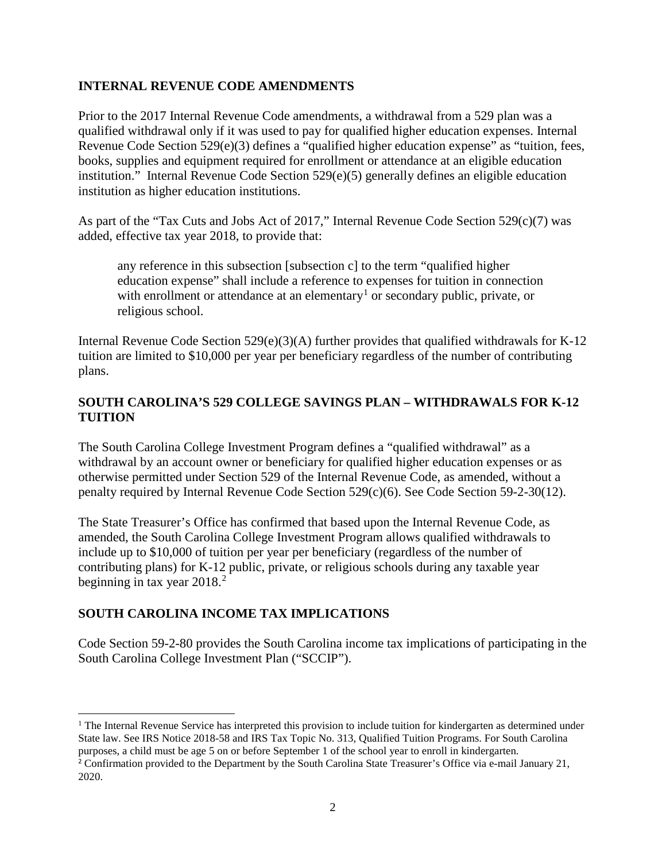#### **INTERNAL REVENUE CODE AMENDMENTS**

Prior to the 2017 Internal Revenue Code amendments, a withdrawal from a 529 plan was a qualified withdrawal only if it was used to pay for qualified higher education expenses. Internal Revenue Code Section 529(e)(3) defines a "qualified higher education expense" as "tuition, fees, books, supplies and equipment required for enrollment or attendance at an eligible education institution." Internal Revenue Code Section 529(e)(5) generally defines an eligible education institution as higher education institutions.

As part of the "Tax Cuts and Jobs Act of 2017," Internal Revenue Code Section 529(c)(7) was added, effective tax year 2018, to provide that:

any reference in this subsection [subsection c] to the term "qualified higher education expense" shall include a reference to expenses for tuition in connection with enrollment or attendance at an elementary<sup>[1](#page-1-0)</sup> or secondary public, private, or religious school.

Internal Revenue Code Section 529(e)(3)(A) further provides that qualified withdrawals for K-12 tuition are limited to \$10,000 per year per beneficiary regardless of the number of contributing plans.

#### **SOUTH CAROLINA'S 529 COLLEGE SAVINGS PLAN – WITHDRAWALS FOR K-12 TUITION**

The South Carolina College Investment Program defines a "qualified withdrawal" as a withdrawal by an account owner or beneficiary for qualified higher education expenses or as otherwise permitted under Section 529 of the Internal Revenue Code, as amended, without a penalty required by Internal Revenue Code Section 529(c)(6). See Code Section 59-2-30(12).

The State Treasurer's Office has confirmed that based upon the Internal Revenue Code, as amended, the South Carolina College Investment Program allows qualified withdrawals to include up to \$10,000 of tuition per year per beneficiary (regardless of the number of contributing plans) for K-12 public, private, or religious schools during any taxable year beginning in tax year  $2018.<sup>2</sup>$  $2018.<sup>2</sup>$ 

#### **SOUTH CAROLINA INCOME TAX IMPLICATIONS**

Code Section 59-2-80 provides the South Carolina income tax implications of participating in the South Carolina College Investment Plan ("SCCIP").

<span id="page-1-0"></span><sup>&</sup>lt;sup>1</sup> The Internal Revenue Service has interpreted this provision to include tuition for kindergarten as determined under State law. See IRS Notice 2018-58 and IRS Tax Topic No. 313, Qualified Tuition Programs. For South Carolina purposes, a child must be age 5 on or before September 1 of the school year to enroll in kindergarten.

<span id="page-1-1"></span><sup>&</sup>lt;sup>2</sup> Confirmation provided to the Department by the South Carolina State Treasurer's Office via e-mail January 21, 2020.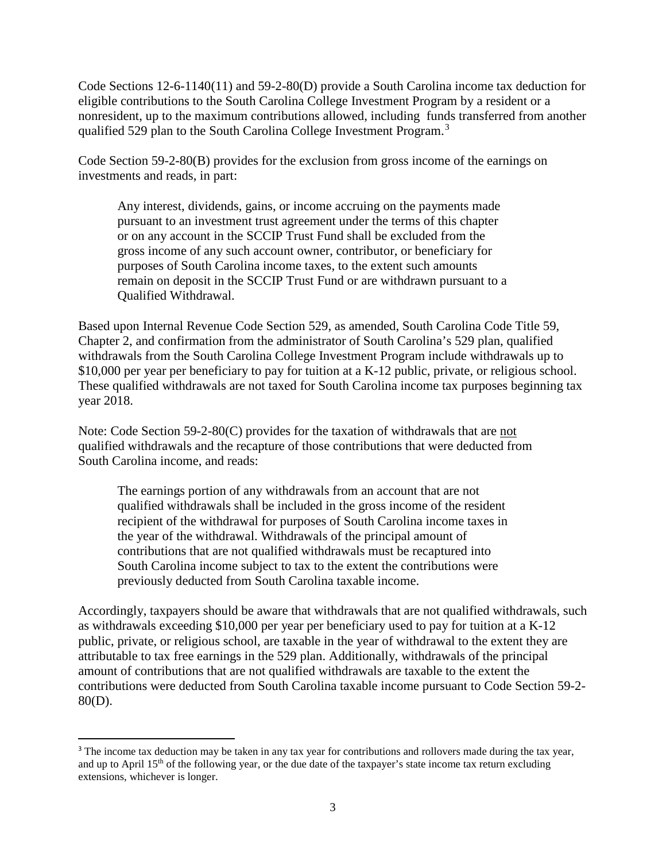Code Sections 12-6-1140(11) and 59-2-80(D) provide a South Carolina income tax deduction for eligible contributions to the South Carolina College Investment Program by a resident or a nonresident, up to the maximum contributions allowed, including funds transferred from another qualified 529 plan to the South Carolina College Investment Program.<sup>[3](#page-2-0)</sup>

Code Section 59-2-80(B) provides for the exclusion from gross income of the earnings on investments and reads, in part:

Any interest, dividends, gains, or income accruing on the payments made pursuant to an investment trust agreement under the terms of this chapter or on any account in the SCCIP Trust Fund shall be excluded from the gross income of any such account owner, contributor, or beneficiary for purposes of South Carolina income taxes, to the extent such amounts remain on deposit in the SCCIP Trust Fund or are withdrawn pursuant to a Qualified Withdrawal.

Based upon Internal Revenue Code Section 529, as amended, South Carolina Code Title 59, Chapter 2, and confirmation from the administrator of South Carolina's 529 plan, qualified withdrawals from the South Carolina College Investment Program include withdrawals up to \$10,000 per year per beneficiary to pay for tuition at a K-12 public, private, or religious school. These qualified withdrawals are not taxed for South Carolina income tax purposes beginning tax year 2018.

Note: Code Section 59-2-80(C) provides for the taxation of withdrawals that are not qualified withdrawals and the recapture of those contributions that were deducted from South Carolina income, and reads:

The earnings portion of any withdrawals from an account that are not qualified withdrawals shall be included in the gross income of the resident recipient of the withdrawal for purposes of South Carolina income taxes in the year of the withdrawal. Withdrawals of the principal amount of contributions that are not qualified withdrawals must be recaptured into South Carolina income subject to tax to the extent the contributions were previously deducted from South Carolina taxable income.

Accordingly, taxpayers should be aware that withdrawals that are not qualified withdrawals, such as withdrawals exceeding \$10,000 per year per beneficiary used to pay for tuition at a K-12 public, private, or religious school, are taxable in the year of withdrawal to the extent they are attributable to tax free earnings in the 529 plan. Additionally, withdrawals of the principal amount of contributions that are not qualified withdrawals are taxable to the extent the contributions were deducted from South Carolina taxable income pursuant to Code Section 59-2- 80(D).

 $\overline{a}$ 

<span id="page-2-0"></span><sup>&</sup>lt;sup>3</sup> The income tax deduction may be taken in any tax year for contributions and rollovers made during the tax year, and up to April  $15<sup>th</sup>$  of the following year, or the due date of the taxpayer's state income tax return excluding extensions, whichever is longer.